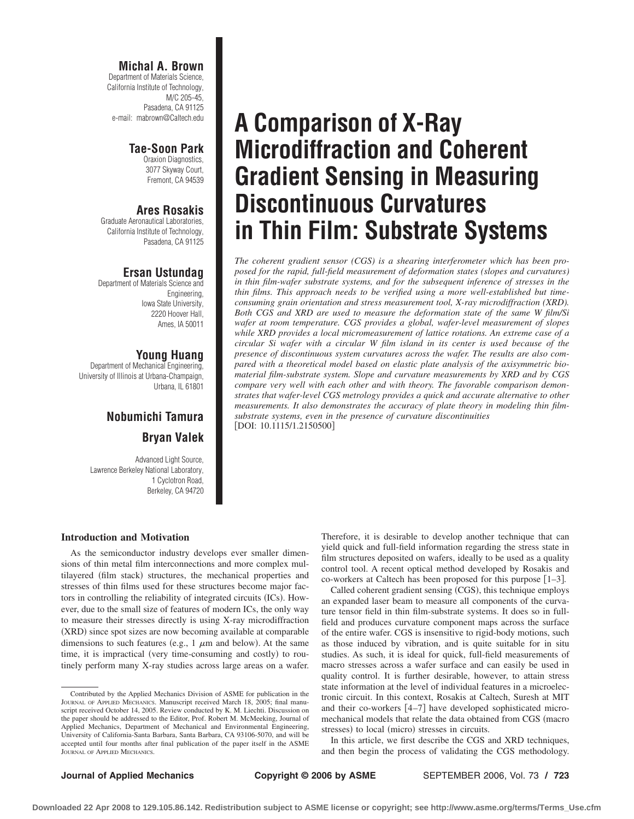#### **Michal A. Brown**

Department of Materials Science, California Institute of Technology, M/C 205-45, Pasadena, CA 91125 e-mail: mabrown@Caltech.edu

### **Tae-Soon Park**

Oraxion Diagnostics, 3077 Skyway Court, Fremont, CA 94539

## **Ares Rosakis**

Graduate Aeronautical Laboratories, California Institute of Technology, Pasadena, CA 91125

## **Ersan Ustundag**

Department of Materials Science and Engineering, Iowa State University, 2220 Hoover Hall, Ames, IA 50011

## **Young Huang**

Department of Mechanical Engineering, University of Illinois at Urbana-Champaign, Urbana, IL 61801

## **Nobumichi Tamura Bryan Valek**

Advanced Light Source, Lawrence Berkeley National Laboratory, 1 Cyclotron Road, Berkeley, CA 94720

## **A Comparison of X-Ray Microdiffraction and Coherent Gradient Sensing in Measuring Discontinuous Curvatures in Thin Film: Substrate Systems**

*The coherent gradient sensor (CGS) is a shearing interferometer which has been proposed for the rapid, full-field measurement of deformation states (slopes and curvatures) in thin film-wafer substrate systems, and for the subsequent inference of stresses in the thin films. This approach needs to be verified using a more well-established but timeconsuming grain orientation and stress measurement tool, X-ray microdiffraction (XRD). Both CGS and XRD are used to measure the deformation state of the same W film/Si wafer at room temperature. CGS provides a global, wafer-level measurement of slopes while XRD provides a local micromeasurement of lattice rotations. An extreme case of a circular Si wafer with a circular W film island in its center is used because of the presence of discontinuous system curvatures across the wafer. The results are also compared with a theoretical model based on elastic plate analysis of the axisymmetric biomaterial film-substrate system. Slope and curvature measurements by XRD and by CGS compare very well with each other and with theory. The favorable comparison demonstrates that wafer-level CGS metrology provides a quick and accurate alternative to other measurements. It also demonstrates the accuracy of plate theory in modeling thin filmsubstrate systems, even in the presence of curvature discontinuities*  $[DOI: 10.1115/1.2150500]$ 

### **Introduction and Motivation**

As the semiconductor industry develops ever smaller dimensions of thin metal film interconnections and more complex multilayered (film stack) structures, the mechanical properties and stresses of thin films used for these structures become major factors in controlling the reliability of integrated circuits ICs. However, due to the small size of features of modern ICs, the only way to measure their stresses directly is using X-ray microdiffraction (XRD) since spot sizes are now becoming available at comparable dimensions to such features (e.g.,  $1 \mu m$  and below). At the same time, it is impractical (very time-consuming and costly) to routinely perform many X-ray studies across large areas on a wafer. Therefore, it is desirable to develop another technique that can yield quick and full-field information regarding the stress state in film structures deposited on wafers, ideally to be used as a quality control tool. A recent optical method developed by Rosakis and co-workers at Caltech has been proposed for this purpose [1-3].

Called coherent gradient sensing CGS, this technique employs an expanded laser beam to measure all components of the curvature tensor field in thin film-substrate systems. It does so in fullfield and produces curvature component maps across the surface of the entire wafer. CGS is insensitive to rigid-body motions, such as those induced by vibration, and is quite suitable for in situ studies. As such, it is ideal for quick, full-field measurements of macro stresses across a wafer surface and can easily be used in quality control. It is further desirable, however, to attain stress state information at the level of individual features in a microelectronic circuit. In this context, Rosakis at Caltech, Suresh at MIT and their co-workers [4-7] have developed sophisticated micromechanical models that relate the data obtained from CGS (macro stresses) to local (micro) stresses in circuits.

In this article, we first describe the CGS and XRD techniques, and then begin the process of validating the CGS methodology.

Contributed by the Applied Mechanics Division of ASME for publication in the JOURNAL OF APPLIED MECHANICS. Manuscript received March 18, 2005; final manuscript received October 14, 2005. Review conducted by K. M. Liechti. Discussion on the paper should be addressed to the Editor, Prof. Robert M. McMeeking, Journal of Applied Mechanics, Department of Mechanical and Environmental Engineering, University of California-Santa Barbara, Santa Barbara, CA 93106-5070, and will be accepted until four months after final publication of the paper itself in the ASME JOURNAL OF APPLIED MECHANICS.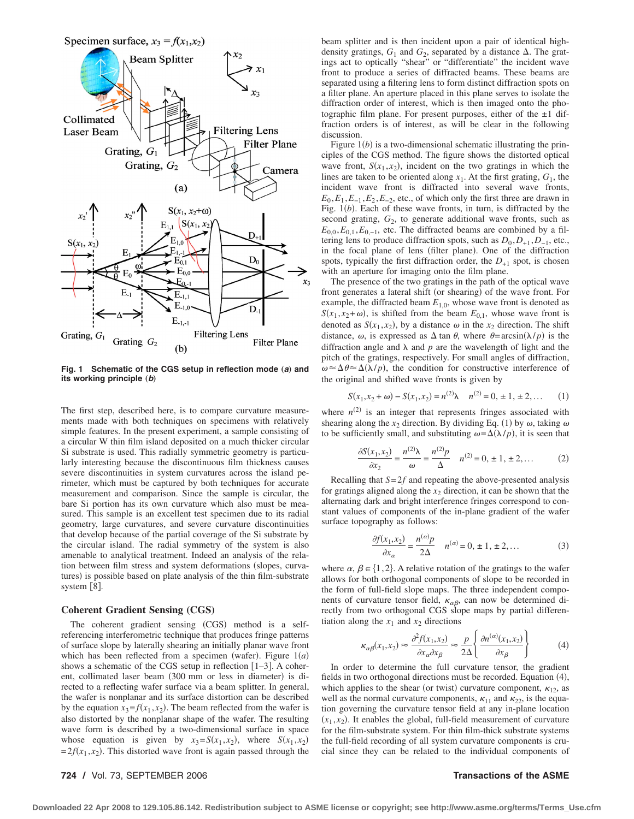

Fig. 1 Schematic of the CGS setup in reflection mode (a) and its working principle (b)

The first step, described here, is to compare curvature measurements made with both techniques on specimens with relatively simple features. In the present experiment, a sample consisting of a circular W thin film island deposited on a much thicker circular Si substrate is used. This radially symmetric geometry is particularly interesting because the discontinuous film thickness causes severe discontinuities in system curvatures across the island perimeter, which must be captured by both techniques for accurate measurement and comparison. Since the sample is circular, the bare Si portion has its own curvature which also must be measured. This sample is an excellent test specimen due to its radial geometry, large curvatures, and severe curvature discontinuities that develop because of the partial coverage of the Si substrate by the circular island. The radial symmetry of the system is also amenable to analytical treatment. Indeed an analysis of the relation between film stress and system deformations (slopes, curvatures) is possible based on plate analysis of the thin film-substrate system [8].

#### **Coherent Gradient Sensing (CGS)**

The coherent gradient sensing (CGS) method is a selfreferencing interferometric technique that produces fringe patterns of surface slope by laterally shearing an initially planar wave front which has been reflected from a specimen (wafer). Figure  $1(a)$ shows a schematic of the CGS setup in reflection [1-3]. A coherent, collimated laser beam (300 mm or less in diameter) is directed to a reflecting wafer surface via a beam splitter. In general, the wafer is nonplanar and its surface distortion can be described by the equation  $x_3 = f(x_1, x_2)$ . The beam reflected from the wafer is also distorted by the nonplanar shape of the wafer. The resulting wave form is described by a two-dimensional surface in space whose equation is given by  $x_3 = S(x_1, x_2)$ , where  $S(x_1, x_2)$  $= 2f(x_1, x_2)$ . This distorted wave front is again passed through the beam splitter and is then incident upon a pair of identical highdensity gratings,  $G_1$  and  $G_2$ , separated by a distance  $\Delta$ . The gratings act to optically "shear" or "differentiate" the incident wave front to produce a series of diffracted beams. These beams are separated using a filtering lens to form distinct diffraction spots on a filter plane. An aperture placed in this plane serves to isolate the diffraction order of interest, which is then imaged onto the photographic film plane. For present purposes, either of the  $\pm 1$  diffraction orders is of interest, as will be clear in the following discussion.

Figure 1(*b*) is a two-dimensional schematic illustrating the principles of the CGS method. The figure shows the distorted optical wave front,  $S(x_1, x_2)$ , incident on the two gratings in which the lines are taken to be oriented along  $x_1$ . At the first grating,  $G_1$ , the incident wave front is diffracted into several wave fronts,  $E_0$ , $E_1$ , $E_{-1}$ , $E_2$ , $E_{-2}$ , etc., of which only the first three are drawn in Fig. 1*b*. Each of these wave fronts, in turn, is diffracted by the second grating,  $G_2$ , to generate additional wave fronts, such as  $E_{0,0}, E_{0,1}, E_{0,-1}$ , etc. The diffracted beams are combined by a filtering lens to produce diffraction spots, such as  $D_0, D_{+1}, D_{-1}$ , etc., in the focal plane of lens (filter plane). One of the diffraction spots, typically the first diffraction order, the  $D_{+1}$  spot, is chosen with an aperture for imaging onto the film plane.

The presence of the two gratings in the path of the optical wave front generates a lateral shift (or shearing) of the wave front. For example, the diffracted beam *E*1,0, whose wave front is denoted as  $S(x_1, x_2 + \omega)$ , is shifted from the beam  $E_{0,1}$ , whose wave front is denoted as  $S(x_1, x_2)$ , by a distance  $\omega$  in the  $x_2$  direction. The shift distance,  $\omega$ , is expressed as  $\Delta \tan \theta$ , where  $\theta = \arcsin(\lambda/p)$  is the diffraction angle and  $\lambda$  and  $p$  are the wavelength of light and the pitch of the gratings, respectively. For small angles of diffraction,  $\omega \approx \Delta \theta \approx \Delta(\lambda/p)$ , the condition for constructive interference of the original and shifted wave fronts is given by

$$
S(x_1, x_2 + \omega) - S(x_1, x_2) = n^{(2)}\lambda \quad n^{(2)} = 0, \pm 1, \pm 2, \dots \tag{1}
$$

where  $n^{(2)}$  is an integer that represents fringes associated with shearing along the  $x_2$  direction. By dividing Eq. (1) by  $\omega$ , taking  $\omega$ to be sufficiently small, and substituting  $\omega = \Delta(\lambda/p)$ , it is seen that

$$
\frac{\partial S(x_1, x_2)}{\partial x_2} = \frac{n^{(2)}\lambda}{\omega} = \frac{n^{(2)}p}{\Delta} \quad n^{(2)} = 0, \pm 1, \pm 2, \dots \tag{2}
$$

Recalling that *S*= 2*f* and repeating the above-presented analysis for gratings aligned along the  $x_2$  direction, it can be shown that the alternating dark and bright interference fringes correspond to constant values of components of the in-plane gradient of the wafer surface topography as follows:

$$
\frac{\partial f(x_1, x_2)}{\partial x_\alpha} = \frac{n^{(\alpha)}p}{2\Delta} \quad n^{(\alpha)} = 0, \pm 1, \pm 2, \dots \tag{3}
$$

where  $\alpha$ ,  $\beta \in \{1,2\}$ . A relative rotation of the gratings to the wafer allows for both orthogonal components of slope to be recorded in the form of full-field slope maps. The three independent components of curvature tensor field,  $\kappa_{\alpha\beta}$ , can now be determined directly from two orthogonal CGS slope maps by partial differentiation along the  $x_1$  and  $x_2$  directions

$$
\kappa_{\alpha\beta}(x_1, x_2) \approx \frac{\partial^2 f(x_1, x_2)}{\partial x_{\alpha} \partial x_{\beta}} \approx \frac{p}{2\Delta} \left\{ \frac{\partial n^{(\alpha)}(x_1, x_2)}{\partial x_{\beta}} \right\} \tag{4}
$$

In order to determine the full curvature tensor, the gradient fields in two orthogonal directions must be recorded. Equation (4), which applies to the shear (or twist) curvature component,  $\kappa_{12}$ , as well as the normal curvature components,  $\kappa_{11}$  and  $\kappa_{22}$ , is the equation governing the curvature tensor field at any in-plane location  $(x_1, x_2)$ . It enables the global, full-field measurement of curvature for the film-substrate system. For thin film-thick substrate systems the full-field recording of all system curvature components is crucial since they can be related to the individual components of

#### **724 /** Vol. 73, SEPTEMBER 2006 **Transactions of the ASME**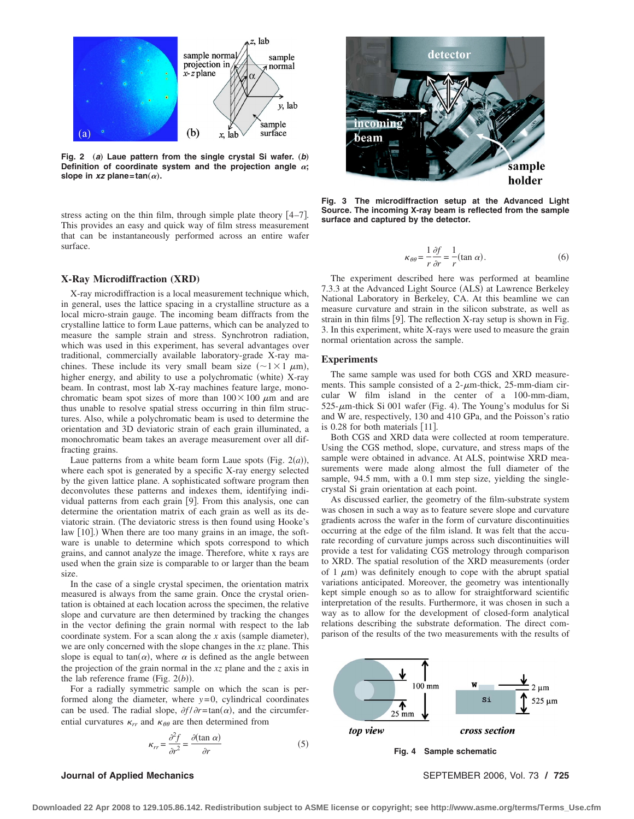

**Fig. 2** (a) Laue pattern from the single crystal Si wafer. (b) Definition of coordinate system and the projection angle  $\alpha$ ; slope in  $xz$  plane= $tan(\alpha)$ .

stress acting on the thin film, through simple plate theory  $[4-7]$ . This provides an easy and quick way of film stress measurement that can be instantaneously performed across an entire wafer surface.

#### **X-Ray Microdiffraction (XRD)**

X-ray microdiffraction is a local measurement technique which, in general, uses the lattice spacing in a crystalline structure as a local micro-strain gauge. The incoming beam diffracts from the crystalline lattice to form Laue patterns, which can be analyzed to measure the sample strain and stress. Synchrotron radiation, which was used in this experiment, has several advantages over traditional, commercially available laboratory-grade X-ray machines. These include its very small beam size  $(\sim 1 \times 1 \mu m)$ , higher energy, and ability to use a polychromatic (white)  $X$ -ray beam. In contrast, most lab X-ray machines feature large, monochromatic beam spot sizes of more than  $100 \times 100 \mu$ m and are thus unable to resolve spatial stress occurring in thin film structures. Also, while a polychromatic beam is used to determine the orientation and 3D deviatoric strain of each grain illuminated, a monochromatic beam takes an average measurement over all diffracting grains.

Laue patterns from a white beam form Laue spots (Fig.  $2(a)$ ), where each spot is generated by a specific X-ray energy selected by the given lattice plane. A sophisticated software program then deconvolutes these patterns and indexes them, identifying individual patterns from each grain [9]. From this analysis, one can determine the orientation matrix of each grain as well as its deviatoric strain. (The deviatoric stress is then found using Hooke's law [10].) When there are too many grains in an image, the software is unable to determine which spots correspond to which grains, and cannot analyze the image. Therefore, white x rays are used when the grain size is comparable to or larger than the beam size.

In the case of a single crystal specimen, the orientation matrix measured is always from the same grain. Once the crystal orientation is obtained at each location across the specimen, the relative slope and curvature are then determined by tracking the changes in the vector defining the grain normal with respect to the lab coordinate system. For a scan along the  $x$  axis (sample diameter), we are only concerned with the slope changes in the *xz* plane. This slope is equal to  $tan(\alpha)$ , where  $\alpha$  is defined as the angle between the projection of the grain normal in the *xz* plane and the *z* axis in the lab reference frame (Fig.  $2(b)$ ).

For a radially symmetric sample on which the scan is performed along the diameter, where  $y=0$ , cylindrical coordinates can be used. The radial slope,  $\partial f / \partial r = \tan(\alpha)$ , and the circumferential curvatures  $\kappa_{rr}$  and  $\kappa_{\theta\theta}$  are then determined from

$$
\kappa_{rr} = \frac{\partial^2 f}{\partial r^2} = \frac{\partial (\tan \alpha)}{\partial r}
$$
 (5)

# detector ncominc beam sample holder

**Fig. 3 The microdiffraction setup at the Advanced Light Source. The incoming X-ray beam is reflected from the sample surface and captured by the detector.**

$$
\kappa_{\theta\theta} = \frac{1}{r} \frac{\partial f}{\partial r} = \frac{1}{r} (\tan \alpha). \tag{6}
$$

The experiment described here was performed at beamline 7.3.3 at the Advanced Light Source (ALS) at Lawrence Berkeley National Laboratory in Berkeley, CA. At this beamline we can measure curvature and strain in the silicon substrate, as well as strain in thin films [9]. The reflection X-ray setup is shown in Fig. 3. In this experiment, white X-rays were used to measure the grain normal orientation across the sample.

#### **Experiments**

The same sample was used for both CGS and XRD measurements. This sample consisted of a  $2-\mu m$ -thick, 25-mm-diam circular W film island in the center of a 100-mm-diam,  $525-\mu$ m-thick Si 001 wafer (Fig. 4). The Young's modulus for Si and W are, respectively, 130 and 410 GPa, and the Poisson's ratio is  $0.28$  for both materials  $[11]$ .

Both CGS and XRD data were collected at room temperature. Using the CGS method, slope, curvature, and stress maps of the sample were obtained in advance. At ALS, pointwise XRD measurements were made along almost the full diameter of the sample, 94.5 mm, with a 0.1 mm step size, yielding the singlecrystal Si grain orientation at each point.

As discussed earlier, the geometry of the film-substrate system was chosen in such a way as to feature severe slope and curvature gradients across the wafer in the form of curvature discontinuities occurring at the edge of the film island. It was felt that the accurate recording of curvature jumps across such discontinuities will provide a test for validating CGS metrology through comparison to XRD. The spatial resolution of the XRD measurements (order of 1  $\mu$ m) was definitely enough to cope with the abrupt spatial variations anticipated. Moreover, the geometry was intentionally kept simple enough so as to allow for straightforward scientific interpretation of the results. Furthermore, it was chosen in such a way as to allow for the development of closed-form analytical relations describing the substrate deformation. The direct comparison of the results of the two measurements with the results of



**Journal of Applied Mechanics** SEPTEMBER 2006, Vol. 73 **/ 725**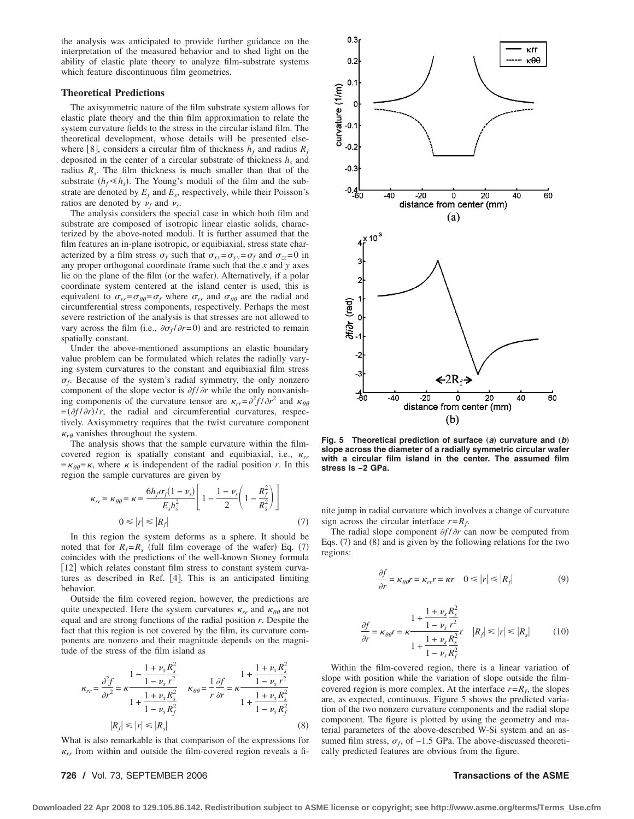the analysis was anticipated to provide further guidance on the interpretation of the measured behavior and to shed light on the ability of elastic plate theory to analyze film-substrate systems which feature discontinuous film geometries.

#### **Theoretical Predictions**

The axisymmetric nature of the film substrate system allows for elastic plate theory and the thin film approximation to relate the system curvature fields to the stress in the circular island film. The theoretical development, whose details will be presented elsewhere [8], considers a circular film of thickness  $h_f$  and radius  $R_f$ deposited in the center of a circular substrate of thickness  $h_s$  and radius *Rs*. The film thickness is much smaller than that of the substrate  $(h_f \ll h_s)$ . The Young's moduli of the film and the substrate are denoted by  $E_f$  and  $E_s$ , respectively, while their Poisson's ratios are denoted by  $\nu_f$  and  $\nu_s$ .

The analysis considers the special case in which both film and substrate are composed of isotropic linear elastic solids, characterized by the above-noted moduli. It is further assumed that the film features an in-plane isotropic, or equibiaxial, stress state characterized by a film stress  $\sigma_f$  such that  $\sigma_{xx} = \sigma_{yy} = \sigma_f$  and  $\sigma_{zz} = 0$  in any proper orthogonal coordinate frame such that the *x* and *y* axes lie on the plane of the film (or the wafer). Alternatively, if a polar coordinate system centered at the island center is used, this is equivalent to  $\sigma_{rr} = \sigma_{\theta\theta} = \sigma_f$  where  $\sigma_{rr}$  and  $\sigma_{\theta\theta}$  are the radial and circumferential stress components, respectively. Perhaps the most severe restriction of the analysis is that stresses are not allowed to vary across the film (i.e.,  $\partial \sigma_f / \partial r = 0$ ) and are restricted to remain spatially constant.

Under the above-mentioned assumptions an elastic boundary value problem can be formulated which relates the radially varying system curvatures to the constant and equibiaxial film stress  $\sigma_f$ . Because of the system's radial symmetry, the only nonzero component of the slope vector is  $\partial f / \partial r$  while the only nonvanishing components of the curvature tensor are  $\kappa_{rr} = \frac{\partial^2 f}{\partial r^2}$  and  $\kappa_{\theta\theta}$  $=$  $(\partial f/\partial r)/r$ , the radial and circumferential curvatures, respectively. Axisymmetry requires that the twist curvature component  $\kappa_{r\theta}$  vanishes throughout the system.

The analysis shows that the sample curvature within the filmcovered region is spatially constant and equibiaxial, i.e.,  $\kappa_{rr}$  $=\kappa_{\theta\theta}=\kappa$ , where  $\kappa$  is independent of the radial position *r*. In this region the sample curvatures are given by

$$
\kappa_{rr} = \kappa_{\theta\theta} = \kappa = \frac{6h_f\sigma_f(1-\nu_s)}{E_s h_s^2} \left[ 1 - \frac{1-\nu_s}{2} \left( 1 - \frac{R_f^2}{R_s^2} \right) \right]
$$
  
0  $\leq |r| \leq |R_f|$  (7)

In this region the system deforms as a sphere. It should be noted that for  $R_f = R_s$  (full film coverage of the wafer) Eq. (7) coincides with the predictions of the well-known Stoney formula [12] which relates constant film stress to constant system curvatures as described in Ref. [4]. This is an anticipated limiting behavior.

Outside the film covered region, however, the predictions are quite unexpected. Here the system curvatures  $\kappa_{rr}$  and  $\kappa_{\theta\theta}$  are not equal and are strong functions of the radial position *r*. Despite the fact that this region is not covered by the film, its curvature components are nonzero and their magnitude depends on the magnitude of the stress of the film island as

$$
\kappa_{rr} = \frac{\partial^2 f}{\partial r^2} = \kappa \frac{1 - \frac{1 + \nu_s R_s^2}{1 - \nu_s r^2}}{1 + \frac{1 + \nu_s R_s^2}{1 - \nu_s R_f^2}} \quad \kappa_{\theta\theta} = \frac{1}{r} \frac{\partial f}{\partial r} = \kappa \frac{1 + \frac{1 + \nu_s R_s^2}{1 - \nu_s r^2}}{1 + \frac{1 + \nu_s R_s^2}{1 - \nu_s R_f^2}}
$$
\n
$$
|R_f| \le |r| \le |R_s| \tag{8}
$$

What is also remarkable is that comparison of the expressions for  $\kappa_{rr}$  from within and outside the film-covered region reveals a fi-

#### **726 /** Vol. 73, SEPTEMBER 2006 **Transactions of the ASME**



**Fig. 5 Theoretical prediction of surface** (a) curvature and (b) **slope across the diameter of a radially symmetric circular wafer with a circular film island in the center. The assumed film stress is −2 GPa.**

nite jump in radial curvature which involves a change of curvature sign across the circular interface  $r = R_f$ .

The radial slope component  $\partial f / \partial r$  can now be computed from Eqs.  $(7)$  and  $(8)$  and is given by the following relations for the two regions:

$$
\frac{\partial f}{\partial r} = \kappa_{\theta\theta} r = \kappa_{rr} r = \kappa r \quad 0 \le |r| \le |R_f| \tag{9}
$$

$$
\frac{\partial f}{\partial r} = \kappa_{\theta\theta} r = \kappa \frac{1 + \frac{1 + \nu_s R_s^2}{1 - \nu_s r^2}}{1 + \frac{1 + \nu_s R_s^2}{1 - \nu_s R_f^2}} r \quad |R_f| \le |r| \le |R_s| \tag{10}
$$

Within the film-covered region, there is a linear variation of slope with position while the variation of slope outside the filmcovered region is more complex. At the interface  $r = R_f$ , the slopes are, as expected, continuous. Figure 5 shows the predicted variation of the two nonzero curvature components and the radial slope component. The figure is plotted by using the geometry and material parameters of the above-described W-Si system and an assumed film stress,  $σ<sub>f</sub>$ , of -1.5 GPa. The above-discussed theoretically predicted features are obvious from the figure.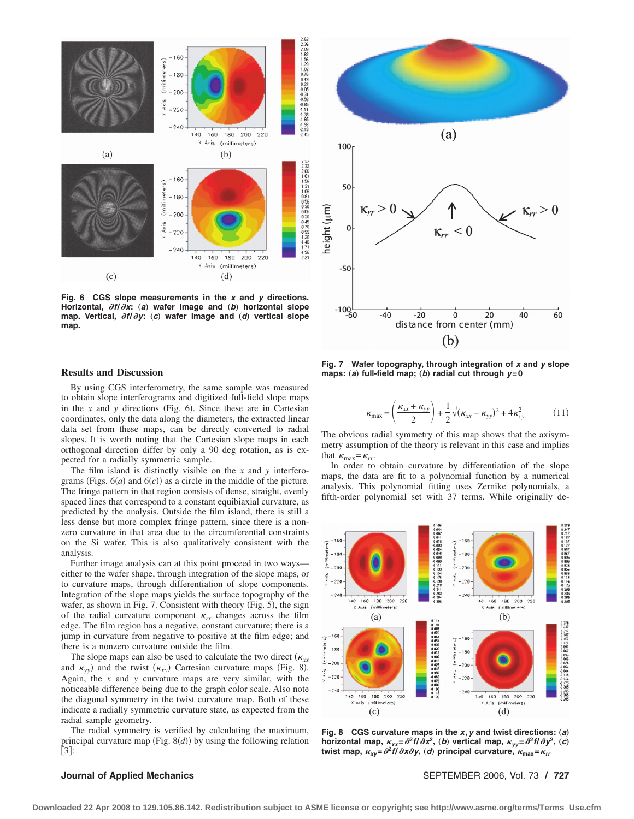

**Fig. 6 CGS slope measurements in the** *x* **and** *y* **directions.** Horizontal,  $\partial f/\partial x$ : (a) wafer image and (b) horizontal slope map. Vertical,  $\partial f/\partial y$ : (c) wafer image and (d) vertical slope **map.**



#### **Results and Discussion**

By using CGS interferometry, the same sample was measured to obtain slope interferograms and digitized full-field slope maps in the  $x$  and  $y$  directions (Fig. 6). Since these are in Cartesian coordinates, only the data along the diameters, the extracted linear data set from these maps, can be directly converted to radial slopes. It is worth noting that the Cartesian slope maps in each orthogonal direction differ by only a 90 deg rotation, as is expected for a radially symmetric sample.

The film island is distinctly visible on the *x* and *y* interferograms (Figs.  $6(a)$  and  $6(c)$ ) as a circle in the middle of the picture. The fringe pattern in that region consists of dense, straight, evenly spaced lines that correspond to a constant equibiaxial curvature, as predicted by the analysis. Outside the film island, there is still a less dense but more complex fringe pattern, since there is a nonzero curvature in that area due to the circumferential constraints on the Si wafer. This is also qualitatively consistent with the analysis.

Further image analysis can at this point proceed in two ways either to the wafer shape, through integration of the slope maps, or to curvature maps, through differentiation of slope components. Integration of the slope maps yields the surface topography of the wafer, as shown in Fig. 7. Consistent with theory  $(Fig. 5)$ , the sign of the radial curvature component  $\kappa_{rr}$  changes across the film edge. The film region has a negative, constant curvature; there is a jump in curvature from negative to positive at the film edge; and there is a nonzero curvature outside the film.

The slope maps can also be used to calculate the two direct  $(\kappa_{xx})$ and  $\kappa_{yy}$  and the twist  $(\kappa_{xy})$  Cartesian curvature maps (Fig. 8). Again, the *x* and *y* curvature maps are very similar, with the noticeable difference being due to the graph color scale. Also note the diagonal symmetry in the twist curvature map. Both of these indicate a radially symmetric curvature state, as expected from the radial sample geometry.

The radial symmetry is verified by calculating the maximum, principal curvature map (Fig.  $8(d)$ ) by using the following relation  $[3]:$ 

**Fig. 7 Wafer topography, through integration of** *x* **and** *y* **slope**  $maps: (a)$  full-field map;  $(b)$  radial cut through  $y=0$ 

$$
\kappa_{\text{max}} = \left(\frac{\kappa_{xx} + \kappa_{yy}}{2}\right) + \frac{1}{2}\sqrt{(\kappa_{xx} - \kappa_{yy})^2 + 4\kappa_{xy}^2}
$$
(11)

The obvious radial symmetry of this map shows that the axisymmetry assumption of the theory is relevant in this case and implies that  $\kappa_{\text{max}} = \kappa_{rr}$ .

In order to obtain curvature by differentiation of the slope maps, the data are fit to a polynomial function by a numerical analysis. This polynomial fitting uses Zernike polynomials, a fifth-order polynomial set with 37 terms. While originally de-



Fig. 8 CGS curvature maps in the *x*, *y* and twist directions: (a) horizontal map,  $\kappa_{xx} = \partial^2 f / \partial x^2$ , (*b*) vertical map,  $\kappa_{yy} = \partial^2 f / \partial y^2$ , (*c*) **twist map,** *xy***=**-**<sup>2</sup>***f***/**-*x*-*y***,** "*d*… **principal curvature, max=***rr*

**Journal of Applied Mechanics** SEPTEMBER 2006, Vol. 73 **/ 727**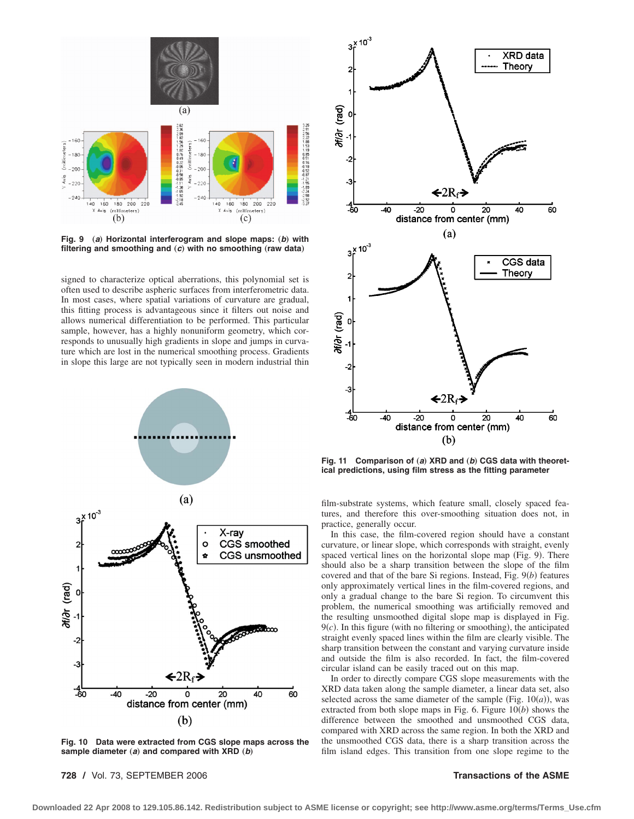

**Fig. 9** (a) Horizontal interferogram and slope maps: (b) with filtering and smoothing and  $(c)$  with no smoothing (raw data)

signed to characterize optical aberrations, this polynomial set is often used to describe aspheric surfaces from interferometric data. In most cases, where spatial variations of curvature are gradual, this fitting process is advantageous since it filters out noise and allows numerical differentiation to be performed. This particular sample, however, has a highly nonuniform geometry, which corresponds to unusually high gradients in slope and jumps in curvature which are lost in the numerical smoothing process. Gradients in slope this large are not typically seen in modern industrial thin



**Fig. 10 Data were extracted from CGS slope maps across the** sample diameter  $(a)$  and compared with XRD  $(b)$ 

**728 /** Vol. 73, SEPTEMBER 2006 **Transactions of the ASME**



Fig. 11 Comparison of (a) XRD and (b) CGS data with theoret**ical predictions, using film stress as the fitting parameter**

film-substrate systems, which feature small, closely spaced features, and therefore this over-smoothing situation does not, in practice, generally occur.

In this case, the film-covered region should have a constant curvature, or linear slope, which corresponds with straight, evenly spaced vertical lines on the horizontal slope map (Fig. 9). There should also be a sharp transition between the slope of the film covered and that of the bare Si regions. Instead, Fig. 9(b) features only approximately vertical lines in the film-covered regions, and only a gradual change to the bare Si region. To circumvent this problem, the numerical smoothing was artificially removed and the resulting unsmoothed digital slope map is displayed in Fig.  $9(c)$ . In this figure (with no filtering or smoothing), the anticipated straight evenly spaced lines within the film are clearly visible. The sharp transition between the constant and varying curvature inside and outside the film is also recorded. In fact, the film-covered circular island can be easily traced out on this map.

In order to directly compare CGS slope measurements with the XRD data taken along the sample diameter, a linear data set, also selected across the same diameter of the sample (Fig.  $10(a)$ ), was extracted from both slope maps in Fig. 6. Figure  $10(b)$  shows the difference between the smoothed and unsmoothed CGS data, compared with XRD across the same region. In both the XRD and the unsmoothed CGS data, there is a sharp transition across the film island edges. This transition from one slope regime to the

**Downloaded 22 Apr 2008 to 129.105.86.142. Redistribution subject to ASME license or copyright; see http://www.asme.org/terms/Terms\_Use.cfm**